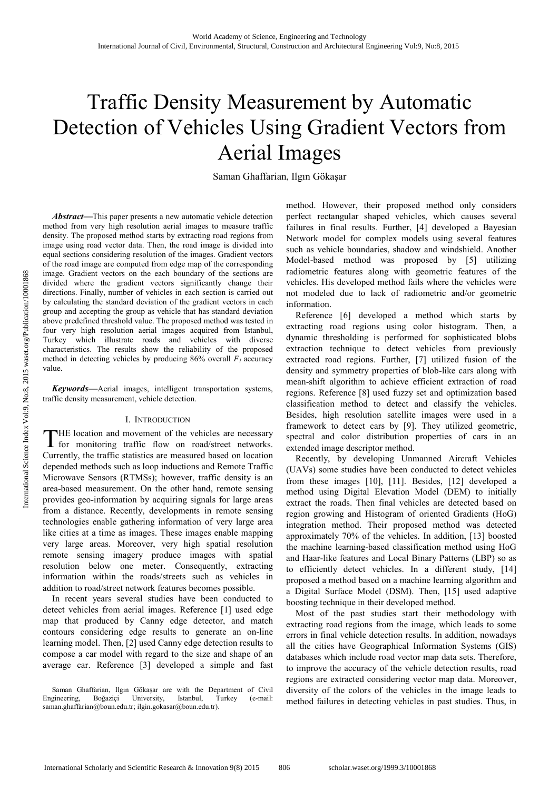# Traffic Density Measurement by Automatic Detection of Vehicles Using Gradient Vectors from Aerial Images

Saman Ghaffarian, Ilgın Gökaşar

*Abstract***—**This paper presents a new automatic vehicle detection method from very high resolution aerial images to measure traffic density. The proposed method starts by extracting road regions from image using road vector data. Then, the road image is divided into equal sections considering resolution of the images. Gradient vectors of the road image are computed from edge map of the corresponding image. Gradient vectors on the each boundary of the sections are divided where the gradient vectors significantly change their directions. Finally, number of vehicles in each section is carried out by calculating the standard deviation of the gradient vectors in each group and accepting the group as vehicle that has standard deviation above predefined threshold value. The proposed method was tested in four very high resolution aerial images acquired from Istanbul, Turkey which illustrate roads and vehicles with diverse characteristics. The results show the reliability of the proposed method in detecting vehicles by producing 86% overall  $F<sub>I</sub>$  accuracy value.

*Keywords***—**Aerial images, intelligent transportation systems, traffic density measurement, vehicle detection.

# I. INTRODUCTION

HE location and movement of the vehicles are necessary THE location and movement of the vehicles are necessary<br>for monitoring traffic flow on road/street networks. Currently, the traffic statistics are measured based on location depended methods such as loop inductions and Remote Traffic Microwave Sensors (RTMSs); however, traffic density is an area-based measurement. On the other hand, remote sensing provides geo-information by acquiring signals for large areas from a distance. Recently, developments in remote sensing technologies enable gathering information of very large area like cities at a time as images. These images enable mapping very large areas. Moreover, very high spatial resolution remote sensing imagery produce images with spatial resolution below one meter. Consequently, extracting information within the roads/streets such as vehicles in addition to road/street network features becomes possible.

In recent years several studies have been conducted to detect vehicles from aerial images. Reference [1] used edge map that produced by Canny edge detector, and match contours considering edge results to generate an on-line learning model. Then, [\[2\]](https://www.researchgate.net/publication/222877696_Performance_analysis_of_a_simple_vehicle_detection_algorithm?el=1_x_8&enrichId=rgreq-5d2dd188-886e-4001-a3f1-312e9ecc390c&enrichSource=Y292ZXJQYWdlOzI4Mjg2ODM3NDtBUzoyODU0Nzk2NzQxMDU4NTZAMTQ0NTA3NTA2NjUyMQ==) used Canny edge detection results to compose a car model with regard to the size and shape of an average car. Reference [\[3\]](https://www.researchgate.net/publication/225003831_Fast_Vehicle_Detection_and_Tracking_in_Aerial_Image_Bursts?el=1_x_8&enrichId=rgreq-5d2dd188-886e-4001-a3f1-312e9ecc390c&enrichSource=Y292ZXJQYWdlOzI4Mjg2ODM3NDtBUzoyODU0Nzk2NzQxMDU4NTZAMTQ0NTA3NTA2NjUyMQ==) developed a simple and fast

method. However, their proposed method only considers perfect rectangular shaped vehicles, which causes several failures in final results. Further, [\[4\]](https://www.researchgate.net/publication/3906099_Car_detection_in_low_resolution_aerial_image?el=1_x_8&enrichId=rgreq-5d2dd188-886e-4001-a3f1-312e9ecc390c&enrichSource=Y292ZXJQYWdlOzI4Mjg2ODM3NDtBUzoyODU0Nzk2NzQxMDU4NTZAMTQ0NTA3NTA2NjUyMQ==) developed a Bayesian Network model for complex models using several features such as vehicle boundaries, shadow and windshield. Another Model-based method was proposed by [\[5\]](https://www.researchgate.net/publication/228920563_Detection_of_vehicles_and_vehicle_queues_for_road_monitoring_using_high_resolution_aerial_images?el=1_x_8&enrichId=rgreq-5d2dd188-886e-4001-a3f1-312e9ecc390c&enrichSource=Y292ZXJQYWdlOzI4Mjg2ODM3NDtBUzoyODU0Nzk2NzQxMDU4NTZAMTQ0NTA3NTA2NjUyMQ==) utilizing radiometric features along with geometric features of the vehicles. His developed method fails where the vehicles were not modeled due to lack of radiometric and/or geometric information.

Reference [\[6\]](https://www.researchgate.net/publication/225212091_Automatic_traffic_monitoring_based_on_aerial_image_sequences?el=1_x_8&enrichId=rgreq-5d2dd188-886e-4001-a3f1-312e9ecc390c&enrichSource=Y292ZXJQYWdlOzI4Mjg2ODM3NDtBUzoyODU0Nzk2NzQxMDU4NTZAMTQ0NTA3NTA2NjUyMQ==) developed a method which starts by extracting road regions using color histogram. Then, a dynamic thresholding is performed for sophisticated blobs extraction technique to detect vehicles from previously extracted road regions. Further, [\[7\]](https://www.researchgate.net/publication/221411398_Vehicle_Detection_from_Aerial_Images_Using_Local_Shape_Information?el=1_x_8&enrichId=rgreq-5d2dd188-886e-4001-a3f1-312e9ecc390c&enrichSource=Y292ZXJQYWdlOzI4Mjg2ODM3NDtBUzoyODU0Nzk2NzQxMDU4NTZAMTQ0NTA3NTA2NjUyMQ==) utilized fusion of the density and symmetry properties of blob-like cars along with mean-shift algorithm to achieve efficient extraction of road regions. Reference [8] used fuzzy set and optimization based classification method to detect and classify the vehicles. Besides, high resolution satellite images were used in a framework to detect cars by [\[9\].](https://www.researchgate.net/publication/266954556_Car_Detection_in_High-Resolution_Urban_Scenes_Using_Multiple_Image_Descriptors?el=1_x_8&enrichId=rgreq-5d2dd188-886e-4001-a3f1-312e9ecc390c&enrichSource=Y292ZXJQYWdlOzI4Mjg2ODM3NDtBUzoyODU0Nzk2NzQxMDU4NTZAMTQ0NTA3NTA2NjUyMQ==) They utilized geometric, spectral and color distribution properties of cars in an extended image descriptor method.

Recently, by developing Unmanned Aircraft Vehicles (UAVs) some studies have been conducted to detect vehicles from these images [10], [11]. Besides, [12] developed a method using Digital Elevation Model (DEM) to initially extract the roads. Then final vehicles are detected based on region growing and Histogram of oriented Gradients (HoG) integration method. Their proposed method was detected approximately 70% of the vehicles. In addition, [\[13\]](https://www.researchgate.net/publication/222533178_On-line_boosting-based_car_detection_from_aerial_images?el=1_x_8&enrichId=rgreq-5d2dd188-886e-4001-a3f1-312e9ecc390c&enrichSource=Y292ZXJQYWdlOzI4Mjg2ODM3NDtBUzoyODU0Nzk2NzQxMDU4NTZAMTQ0NTA3NTA2NjUyMQ==) boosted the machine learning-based classification method using HoG and Haar-like features and Local Binary Patterns (LBP) so as to efficiently detect vehicles. In a different study, [\[14\]](https://www.researchgate.net/publication/4301663_A_3D_Teacher_for_Car_Detection_in_Aerial_Images?el=1_x_8&enrichId=rgreq-5d2dd188-886e-4001-a3f1-312e9ecc390c&enrichSource=Y292ZXJQYWdlOzI4Mjg2ODM3NDtBUzoyODU0Nzk2NzQxMDU4NTZAMTQ0NTA3NTA2NjUyMQ==) proposed a method based on a machine learning algorithm and a Digital Surface Model (DSM). Then, [\[15\]](https://www.researchgate.net/publication/224128511_Vehicle_Detection_in_Very_High_Resolution_Satellite_Images_of_City_Areas?el=1_x_8&enrichId=rgreq-5d2dd188-886e-4001-a3f1-312e9ecc390c&enrichSource=Y292ZXJQYWdlOzI4Mjg2ODM3NDtBUzoyODU0Nzk2NzQxMDU4NTZAMTQ0NTA3NTA2NjUyMQ==) used adaptive boosting technique in their developed method.

Most of the past studies start their methodology with extracting road regions from the image, which leads to some errors in final vehicle detection results. In addition, nowadays all the cities have Geographical Information Systems (GIS) databases which include road vector map data sets. Therefore, to improve the accuracy of the vehicle detection results, road regions are extracted considering vector map data. Moreover, diversity of the colors of the vehicles in the image leads to method failures in detecting vehicles in past studies. Thus, in

Saman Ghaffarian, Ilgın Gökaşar are with the Department of Civil Engineering, Boğaziçi University, Istanbul, Turkey (e-mail: saman.ghaffarian@boun.edu.tr; ilgin.gokasar@boun.edu.tr).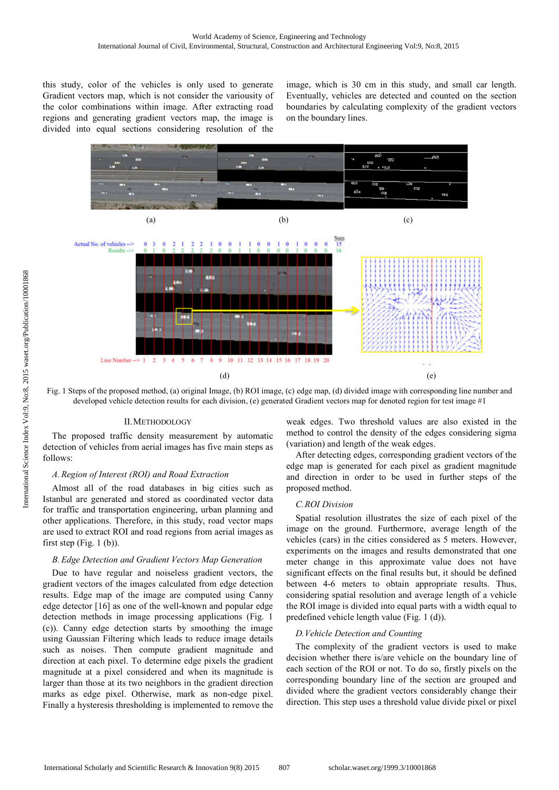this study, color of the vehicles is only used to generate Gradient vectors map, which is not consider the variousity of the color combinations within image. After extracting road regions and generating gradient vectors map, the image is divided into equal sections considering resolution of the

image, which is 30 cm in this study, and small car length. Eventually, vehicles are detected and counted on the section boundaries by calculating complexity of the gradient vectors on the boundary lines.



Fig. 1 Steps of the proposed method, (a) original Image, (b) ROI image, (c) edge map, (d) divided image with corresponding line number and developed vehicle detection results for each division, (e) generated Gradient vectors map for denoted region for test image #1

# II.METHODOLOGY

The proposed traffic density measurement by automatic detection of vehicles from aerial images has five main steps as follows:

## *A.Region of Interest (ROI) and Road Extraction*

Almost all of the road databases in big cities such as Istanbul are generated and stored as coordinated vector data for traffic and transportation engineering, urban planning and other applications. Therefore, in this study, road vector maps are used to extract ROI and road regions from aerial images as first step  $(Fig. 1 (b))$ .

# *B.Edge Detection and Gradient Vectors Map Generation*

Due to have regular and noiseless gradient vectors, the gradient vectors of the images calculated from edge detection results. Edge map of the image are computed using Canny edge detector [\[16\]](https://www.researchgate.net/publication/224377985_A_Computational_Approach_To_Edge_Detection?el=1_x_8&enrichId=rgreq-5d2dd188-886e-4001-a3f1-312e9ecc390c&enrichSource=Y292ZXJQYWdlOzI4Mjg2ODM3NDtBUzoyODU0Nzk2NzQxMDU4NTZAMTQ0NTA3NTA2NjUyMQ==) as one of the well-known and popular edge detection methods in image processing applications (Fig. 1 (c)). Canny edge detection starts by smoothing the image using Gaussian Filtering which leads to reduce image details such as noises. Then compute gradient magnitude and direction at each pixel. To determine edge pixels the gradient magnitude at a pixel considered and when its magnitude is larger than those at its two neighbors in the gradient direction marks as edge pixel. Otherwise, mark as non-edge pixel. Finally a hysteresis thresholding is implemented to remove the

weak edges. Two threshold values are also existed in the method to control the density of the edges considering sigma (variation) and length of the weak edges.

After detecting edges, corresponding gradient vectors of the edge map is generated for each pixel as gradient magnitude and direction in order to be used in further steps of the proposed method.

#### *C.ROI Division*

Spatial resolution illustrates the size of each pixel of the image on the ground. Furthermore, average length of the vehicles (cars) in the cities considered as 5 meters. However, experiments on the images and results demonstrated that one meter change in this approximate value does not have significant effects on the final results but, it should be defined between 4-6 meters to obtain appropriate results. Thus, considering spatial resolution and average length of a vehicle the ROI image is divided into equal parts with a width equal to predefined vehicle length value (Fig. 1 (d)).

## *D.Vehicle Detection and Counting*

The complexity of the gradient vectors is used to make decision whether there is/are vehicle on the boundary line of each section of the ROI or not. To do so, firstly pixels on the corresponding boundary line of the section are grouped and divided where the gradient vectors considerably change their direction. This step uses a threshold value divide pixel or pixel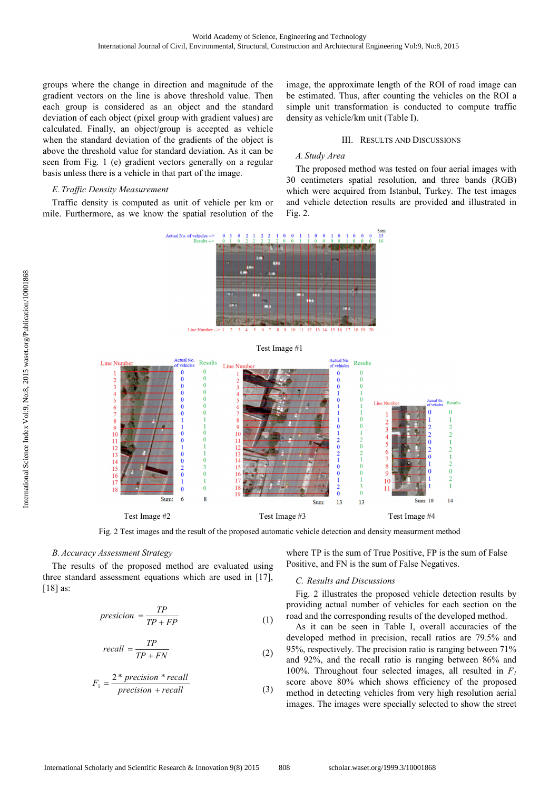groups where the change in direction and magnitude of the gradient vectors on the line is above threshold value. Then each group is considered as an object and the standard deviation of each object (pixel group with gradient values) are calculated. Finally, an object/group is accepted as vehicle when the standard deviation of the gradients of the object is above the threshold value for standard deviation. As it can be seen from Fig. 1 (e) gradient vectors generally on a regular basis unless there is a vehicle in that part of the image.

# *E. Traffic Density Measurement*

Traffic density is computed as unit of vehicle per km or mile. Furthermore, as we know the spatial resolution of the

Actual No. of vehicles

image, the approximate length of the ROI of road image can be estimated. Thus, after counting the vehicles on the ROI a simple unit transformation is conducted to compute traffic density as vehicle/km unit (Table I).

# III. RESULTS AND DISCUSSIONS

# *A. Study Area*

The proposed method was tested on four aerial images with 30 centimeters spatial resolution, and three bands (RGB) which were acquired from Istanbul, Turkey. The test images and vehicle detection results are provided and illustrated in Fig. 2.



Fig. 2 Test images and the result of the proposed automatic vehicle detection and density measurment method

# *B.Accuracy Assessment Strategy*

The results of the proposed method are evaluated using three standard assessment equations which are used in [17], [18] as:

$$
precision = \frac{TP}{TP + FP}
$$
 (1)

$$
recall = \frac{TP}{TP + FN}
$$
 (2)

$$
F_1 = \frac{2 * precision * recall}{precision + recall}
$$
 (3)

where TP is the sum of True Positive, FP is the sum of False Positive, and FN is the sum of False Negatives.

#### *C. Results and Discussions*

Fig. 2 illustrates the proposed vehicle detection results by providing actual number of vehicles for each section on the road and the corresponding results of the developed method.

As it can be seen in Table I, overall accuracies of the developed method in precision, recall ratios are 79.5% and 95%, respectively. The precision ratio is ranging between 71% and 92%, and the recall ratio is ranging between 86% and 100%. Throughout four selected images, all resulted in *F<sup>1</sup>* score above 80% which shows efficiency of the proposed method in detecting vehicles from very high resolution aerial images. The images were specially selected to show the street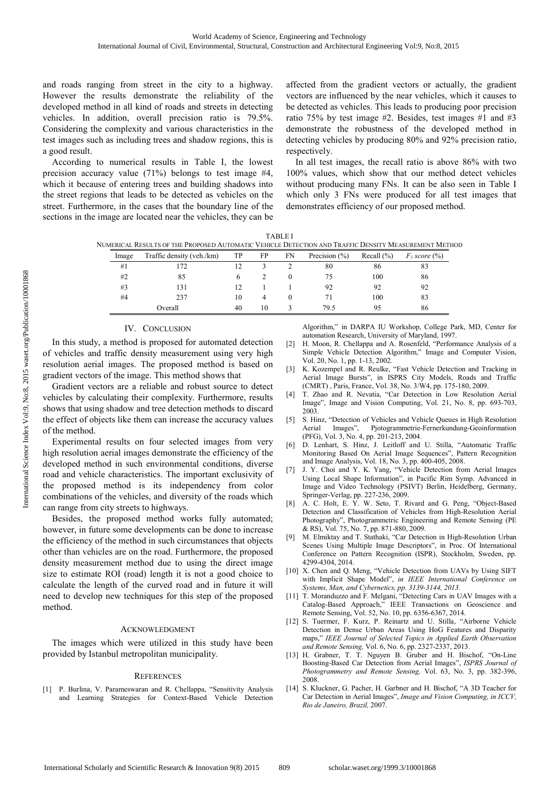and roads ranging from street in the city to a highway. However the results demonstrate the reliability of the developed method in all kind of roads and streets in detecting vehicles. In addition, overall precision ratio is 79.5%. Considering the complexity and various characteristics in the test images such as including trees and shadow regions, this is a good result.

According to numerical results in Table I, the lowest precision accuracy value (71%) belongs to test image #4, which it because of entering trees and building shadows into the street regions that leads to be detected as vehicles on the street. Furthermore, in the cases that the boundary line of the sections in the image are located near the vehicles, they can be affected from the gradient vectors or actually, the gradient vectors are influenced by the near vehicles, which it causes to be detected as vehicles. This leads to producing poor precision ratio 75% by test image #2. Besides, test images #1 and #3 demonstrate the robustness of the developed method in detecting vehicles by producing 80% and 92% precision ratio, respectively.

In all test images, the recall ratio is above 86% with two 100% values, which show that our method detect vehicles without producing many FNs. It can be also seen in Table I which only 3 FNs were produced for all test images that demonstrates efficiency of our proposed method.

| TABLE I                                                                                              |       |                           |        |               |  |                   |                |                                        |  |
|------------------------------------------------------------------------------------------------------|-------|---------------------------|--------|---------------|--|-------------------|----------------|----------------------------------------|--|
| NUMERICAL RESULTS OF THE PROPOSED AUTOMATIC VEHICLE DETECTION AND TRAFFIC DENSITY MEASUREMENT METHOD |       |                           |        |               |  |                   |                |                                        |  |
|                                                                                                      | Image | Traffic density (veh./km) |        | TP FP FN      |  | Precision $(\% )$ | Recall $(\% )$ | $F_1$ score $\left(\frac{9}{6}\right)$ |  |
|                                                                                                      | #1    |                           |        |               |  | 80                |                |                                        |  |
|                                                                                                      | #2    | 85                        | $\sim$ | $\mathcal{L}$ |  |                   | 100            | 86                                     |  |
|                                                                                                      | #3    |                           | 12.    |               |  |                   |                |                                        |  |
|                                                                                                      |       |                           |        |               |  |                   |                |                                        |  |

#4 237 10 4 0 71 100 83

Overall  $40 \t 10 \t 3 \t 79.5 \t 95 \t 86$ 

# IV. CONCLUSION

In this study, a method is proposed for automated detection of vehicles and traffic density measurement using very high resolution aerial images. The proposed method is based on gradient vectors of the image. This method shows that

Gradient vectors are a reliable and robust source to detect vehicles by calculating their complexity. Furthermore, results shows that using shadow and tree detection methods to discard the effect of objects like them can increase the accuracy values of the method.

Experimental results on four selected images from very high resolution aerial images demonstrate the efficiency of the developed method in such environmental conditions, diverse road and vehicle characteristics. The important exclusivity of the proposed method is its independency from color combinations of the vehicles, and diversity of the roads which can range from city streets to highways.

Besides, the proposed method works fully automated; however, in future some developments can be done to increase the efficiency of the method in such circumstances that objects other than vehicles are on the road. Furthermore, the proposed density measurement method due to using the direct image size to estimate ROI (road) length it is not a good choice to calculate the length of the curved road and in future it will need to develop new techniques for this step of the proposed method.

#### ACKNOWLEDGMENT

The images which were utilized in this study have been provided by Istanbul metropolitan municipality.

#### **REFERENCES**

[1] P. Burlina, V. Parameswaran and R. Chellappa, "Sensitivity Analysis and Learning Strategies for Context-Based Vehicle Detection Algorithm," in DARPA IU Workshop, College Park, MD, Center for automation Research, University of Maryland, 1997.

- [2] H. Moon, R. Chellappa and A. Rosenfeld, "Performance Analysis of a Simple Vehicle Detection Algorithm," Image and Computer Vision, Vol. 20, No. 1, pp. 1-13, 2002.
- [3] K. Kozempel and R. Reulke, "Fast Vehicle Detection and Tracking in Aerial Image Bursts", in ISPRS City Models, Roads and Traffic (CMRT) , Paris, France, Vol. 38, No. 3/W4, pp. 175-180, 2009.
- [4] T. Zhao and R. Nevatia, "Car Detection in Low Resolution Aerial Image", Image and Vision Computing, Vol. 21, No. 8, pp. 693-703, 2003.
- [5] S. Hinz, "Detection of Vehicles and Vehicle Queues in High Resolution Aerial Images", Pjotogrammetrie-Fernerkundung-Geoinformation (PFG), Vol. 3, No. 4, pp. 201-213, 2004.
- [6] D. Lenhart, S. Hinz, J. Leitloff and U. Stilla, "Automatic Traffic Monitoring Based On Aerial Image Sequences", Pattern Recognition and Image Analysis, Vol. 18, No. 3, pp. 400-405, 2008.
- [7] J. Y. Choi and Y. K. Yang, "Vehicle Detection from Aerial Images Using Local Shape Information", in Pacific Rim Symp. Advanced in Image and Video Technology (PSIVT) Berlin, Heidelberg, Germany, Springer-Verlag, pp. 227-236, 2009.
- [8] A. C. Holt, E. Y. W. Seto, T. Rivard and G. Peng, "Object-Based Detection and Classification of Vehicles from High-Resolution Aerial Photography", Photogrammetric Engineering and Remote Sensing (PE & RS), Vol. 75, No. 7, pp. 871-880, 2009.
- [9] M. Elmiktay and T. Stathaki, "Car Detection in High-Resolution Urban Scenes Using Multiple Image Descriptors", in Proc. Of International Conference on Pattern Recognition (ISPR), Stockholm, Sweden, pp. 4299-4304, 2014.
- [10] X. Chen and Q. Meng, "Vehicle Detection from UAVs by Using SIFT with Implicit Shape Model", *in IEEE International Conference on Systems, Man, and Cybernetics, pp. 3139-3144, 2013.*
- [11] T. Moranduzzo and F. Melgani, "Detecting Cars in UAV Images with a Catalog-Based Approach," IEEE Transactions on Geoscience and Remote Sensing, Vol. 52, No. 10, pp. 6356-6367, 2014.
- [12] S. Tuermer, F. Kurz, P. Reinartz and U. Stilla, "Airborne Vehicle Detection in Dense Urban Areas Using HoG Features and Disparity maps," *IEEE Journal of Selected Topics in Applied Earth Observation and Remote Sensing,* Vol. 6, No. 6, pp. 2327-2337, 2013.
- [13] H. Grabner, T. T. Nguyen B. Gruber and H. Bischof, "On-Line Boosting-Based Car Detection from Aerial Images", *ISPRS Journal of Photogrammetry and Remote Sensing,* Vol. 63, No. 3, pp. 382-396, 2008.
- [14] S. Kluckner, G. Pacher, H. Garbner and H. Bischof, "A 3D Teacher for Car Detection in Aerial Images", *Image and Vision Computing, in ICCV, Rio de Janeiro, Brazil,* 2007.